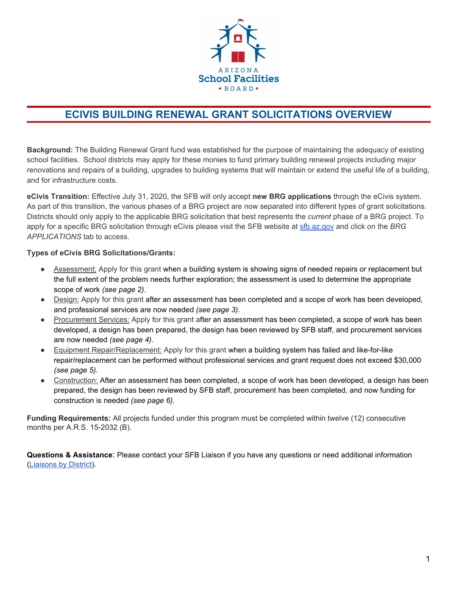

# **ECIVIS BUILDING RENEWAL GRANT SOLICITATIONS OVERVIEW**

**Background:** The Building Renewal Grant fund was established for the purpose of maintaining the adequacy of existing school facilities. School districts may apply for these monies to fund primary building renewal projects including major renovations and repairs of a building, upgrades to building systems that will maintain or extend the useful life of a building, and for infrastructure costs.

**eCivis Transition:** Effective July 31, 2020, the SFB will only accept **new BRG applications** through the eCivis system. As part of this transition, the various phases of a BRG project are now separated into different types of grant solicitations. Districts should only apply to the applicable BRG solicitation that best represents the *current* phase of a BRG project. To apply for a specific BRG solicitation through eCivis please visit the SFB website at [sfb.az.gov](https://sfb.az.gov/) and click on the *BRG APPLICATIONS* tab to access.

## **Types of eCivis BRG Solicitations/Grants:**

- Assessment: Apply for this grant when a building system is showing signs of needed repairs or replacement but the full extent of the problem needs further exploration; the assessment is used to determine the appropriate scope of work *(see page 2)*.
- Design: Apply for this grant after an assessment has been completed and a scope of work has been developed, and professional services are now needed *(see page 3)*.
- Procurement Services: Apply for this grant after an assessment has been completed, a scope of work has been developed, a design has been prepared, the design has been reviewed by SFB staff, and procurement services are now needed *(see page 4)*.
- Equipment Repair/Replacement: Apply for this grant when a building system has failed and like-for-like repair/replacement can be performed without professional services and grant request does not exceed \$30,000 *(see page 5)*.
- Construction: After an assessment has been completed, a scope of work has been developed, a design has been prepared, the design has been reviewed by SFB staff, procurement has been completed, and now funding for construction is needed *(see page 6)*.

**Funding Requirements:** All projects funded under this program must be completed within twelve (12) consecutive months per A.R.S. 15-2032 (B).

**Questions & Assistance**: Please contact your SFB Liaison if you have any questions or need additional information [\(Liaisons](https://sfb.az.gov/Liaisons-By-District) by District).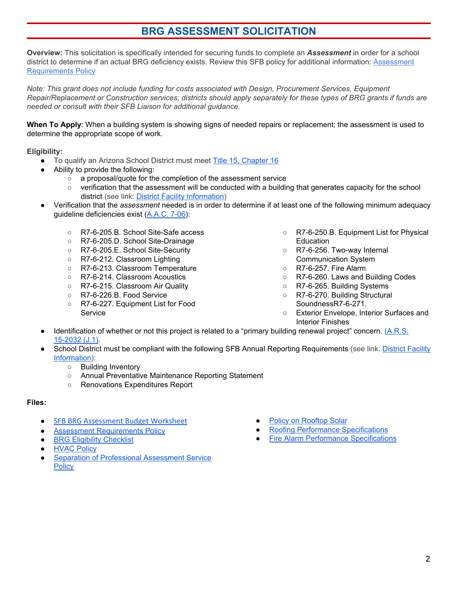## **BRG ASSESSMENT SOLICITATION**

**Overview:** This solicitation is specifically intended for securing funds to complete an *Assessment* in order for a school district to determine if an actual BRG deficiency exists. Review this SFB policy for additional information: [Assessment](http://www.azsfb.gov/sfb/agency/RulesAndPolicies/Assessment%20Requirements%20Policy.pdf) [Requirements](http://www.azsfb.gov/sfb/agency/RulesAndPolicies/Assessment%20Requirements%20Policy.pdf) Policy

*Note: This grant does not include funding for costs associated with Design, Procurement Services, Equipment* Repair/Replacement or Construction services; districts should apply separately for these types of BRG grants if funds are *needed or consult with their SFB Liaison for additional guidance.*

**When To Apply**: When a building system is showing signs of needed repairs or replacement; the assessment is used to determine the appropriate scope of work.

### **Eligibility:**

- To qualify an Arizona School District must meet Title 15, [Chapter](https://www.azleg.gov/arsDetail/?title=15) 16
	- Ability to provide the following:
		- a proposal/quote for the completion of the assessment service
		- verification that the assessment will be conducted with a building that generates capacity for the school district (see link: District Facility [Information\)](http://www.azsfb.gov/linkTo.asp?linkId=1888)
- Verification that the *assessment* needed is in order to determine if at least one of the following minimum adequacy guideline deficiencies exist [\(A.A.C.](https://apps.azsos.gov/public_services/Title_07/7-06.pdf) 7-06):
	- R7-6-205.B. School Site-Safe access
	- R7-6-205.D. School Site-Drainage
	- R7-6-205.E. School Site-Security
	- R7-6-212. Classroom Lighting
	- R7-6-213. Classroom Temperature
	- R7-6-214. Classroom Acoustics
	- R7-6-215. Classroom Air Quality
	- R7-6-226.B. Food Service
	- R7-6-227. Equipment List for Food Service
- R7-6-250.B. Equipment List for Physical **Education**
- R7-6-256. Two-way Internal Communication System
- R7-6-257. Fire Alarm
- R7-6-260. Laws and Building Codes
- R7-6-265. Building Systems
- R7-6-270. Building Structural SoundnessR7-6-271.
- Exterior Envelope, Interior Surfaces and Interior Finishes
- Identification of whether or not this project is related to a "primary building renewal project" concern. [\(A.R.S.](https://www.azleg.gov/viewdocument/?docName=https://www.azleg.gov/ars/15/02032.htm) [15-2032](https://www.azleg.gov/viewdocument/?docName=https://www.azleg.gov/ars/15/02032.htm) (J.1).
- School District must be compliant with the following SFB Annual Reporting Requirements (see link: District [Facility](http://www.azsfb.gov/linkTo.asp?linkId=1888) [Information](http://www.azsfb.gov/linkTo.asp?linkId=1888)):
	- Building Inventory
	- Annual Preventative Maintenance Reporting Statement
	- Renovations Expenditures Report

- SFB BRG [Assessment](http://www.azsfb.gov/linkTo.asp?linkId=1884) Budget Worksheet
- **Assessment [Requirements](http://www.azsfb.gov/sfb/agency/RulesAndPolicies/Assessment%20Requirements%20Policy.pdf) Policy**
- **BRG Eligibility [Checklist](http://www.azsfb.gov/sfb/agency/Published/BRG%20Application%20Checklist.pdf)**
- **[HVAC](http://www.azsfb.gov/sfb/agency/Published/SFB%20HVAC%20policy.pdf) Policy**
- **Separation of [Professional](http://www.azsfb.gov/sfb/agency/RulesAndPolicies/Separation%20of%20Professional%20Assessment%20Services%20Policy1.pdf) Assessment Service [Policy](http://www.azsfb.gov/sfb/agency/RulesAndPolicies/Separation%20of%20Professional%20Assessment%20Services%20Policy1.pdf)**
- **Policy on [Rooftop](http://www.azsfb.gov/sfb/agency/RulesAndPolicies/XII%20Rooftop%20Solar%20Policy.pdf) Solar**
- **Roofing Performance [Specifications](http://www.azsfb.gov/sfb/agency/RulesAndPolicies/XV%20Roof%20Inspection%20Protocol%20Policy.pdf)**
- **Fire Alarm Performance [Specifications](http://www.azsfb.gov/sfb/agency/Performance%20Specifications/Fire%20Alarm%2012122018/28_46_00_-_Fire_Alarm%20%281%29.pdf)**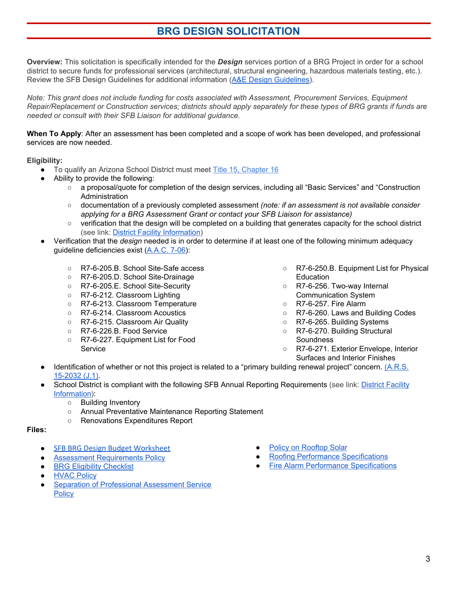## **BRG DESIGN SOLICITATION**

**Overview:** This solicitation is specifically intended for the *Design* services portion of a BRG Project in order for a school district to secure funds for professional services (architectural, structural engineering, hazardous materials testing, etc.). Review the SFB Design Guidelines for additional information (A&E Design [Guidelines\)](http://www.azsfb.gov/sfb/agency/new%20construction/docs/arch%20fee%20guidelines.htm).

*Note: This grant does not include funding for costs associated with Assessment, Procurement Services, Equipment* Repair/Replacement or Construction services; districts should apply separately for these types of BRG grants if funds are *needed or consult with their SFB Liaison for additional guidance.*

**When To Apply**: After an assessment has been completed and a scope of work has been developed, and professional services are now needed.

**Eligibility:**

- To qualify an Arizona School District must meet Title 15, [Chapter](https://www.azleg.gov/arsDetail/?title=15) 16
- Ability to provide the following:
	- a proposal/quote for completion of the design services, including all "Basic Services" and "Construction **Administration**
	- documentation of a previously completed assessment *(note: if an assessment is not available consider applying for a BRG Assessment Grant or contact your SFB Liaison for assistance)*
	- verification that the design will be completed on a building that generates capacity for the school district (see link: District Facility [Information\)](http://www.azsfb.gov/linkTo.asp?linkId=1888)
- Verification that the *design* needed is in order to determine if at least one of the following minimum adequacy guideline deficiencies exist [\(A.A.C.](https://apps.azsos.gov/public_services/Title_07/7-06.pdf) 7-06):
	- R7-6-205.B. School Site-Safe access
	- R7-6-205.D. School Site-Drainage
	- R7-6-205.E. School Site-Security
	- R7-6-212. Classroom Lighting
	- R7-6-213. Classroom Temperature
	- R7-6-214. Classroom Acoustics
	- R7-6-215. Classroom Air Quality
	- R7-6-226.B. Food Service
	- R7-6-227. Equipment List for Food Service
- R7-6-250.B. Equipment List for Physical Education
- R7-6-256. Two-way Internal Communication System
- R7-6-257. Fire Alarm
- R7-6-260. Laws and Building Codes
- R7-6-265. Building Systems
- R7-6-270. Building Structural **Soundness**
- R7-6-271. Exterior Envelope, Interior Surfaces and Interior Finishes
- Identification of whether or not this project is related to a "primary building renewal project" concern. [\(A.R.S.](https://www.azleg.gov/viewdocument/?docName=https://www.azleg.gov/ars/15/02032.htm) [15-2032](https://www.azleg.gov/viewdocument/?docName=https://www.azleg.gov/ars/15/02032.htm) (J.1).
- School District is compliant with the following SFB Annual Reporting Requirements (see link: District [Facility](http://www.azsfb.gov/linkTo.asp?linkId=1888) [Information](http://www.azsfb.gov/linkTo.asp?linkId=1888)):
	- Building Inventory
	- Annual Preventative Maintenance Reporting Statement
	- Renovations Expenditures Report

- SFB BRG Design Budget [Worksheet](http://www.azsfb.gov/linkTo.asp?linkId=1882)
- **Assessment [Requirements](http://www.azsfb.gov/sfb/agency/RulesAndPolicies/Assessment%20Requirements%20Policy.pdf) Policy**
- **BRG Eligibility [Checklist](http://www.azsfb.gov/sfb/agency/Published/BRG%20Application%20Checklist.pdf)**
- **[HVAC](http://www.azsfb.gov/sfb/agency/Published/SFB%20HVAC%20policy.pdf) Policy**
- **Separation of [Professional](http://www.azsfb.gov/sfb/agency/RulesAndPolicies/Separation%20of%20Professional%20Assessment%20Services%20Policy1.pdf) Assessment Service [Policy](http://www.azsfb.gov/sfb/agency/RulesAndPolicies/Separation%20of%20Professional%20Assessment%20Services%20Policy1.pdf)**
- Policy on [Rooftop](http://www.azsfb.gov/sfb/agency/RulesAndPolicies/XII%20Rooftop%20Solar%20Policy.pdf) Solar
- **Roofing Performance [Specifications](http://www.azsfb.gov/sfb/agency/RulesAndPolicies/XV%20Roof%20Inspection%20Protocol%20Policy.pdf)**
- **Fire Alarm Performance [Specifications](http://www.azsfb.gov/sfb/agency/Performance%20Specifications/Fire%20Alarm%2012122018/28_46_00_-_Fire_Alarm%20%281%29.pdf)**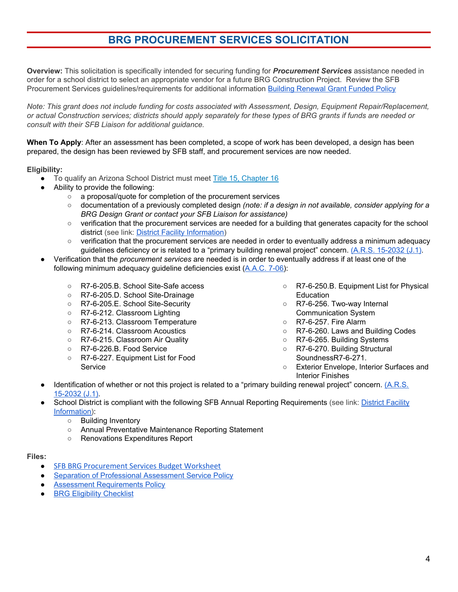# **BRG PROCUREMENT SERVICES SOLICITATION**

**Overview:** This solicitation is specifically intended for securing funding for *Procurement Services* assistance needed in order for a school district to select an appropriate vendor for a future BRG Construction Project. Review the SFB Procurement Services guidelines/requirements for additional information Building [Renewal](http://www.azsfb.gov/sfb/agency/RulesAndPolicies/IX%20Building%20Renewal%20Grant%20Fund%20Policy.pdf) Grant Funded Policy

*Note: This grant does not include funding for costs associated with Assessment, Design, Equipment Repair/Replacement,* or actual Construction services; districts should apply separately for these types of BRG grants if funds are needed or *consult with their SFB Liaison for additional guidance.*

**When To Apply**: After an assessment has been completed, a scope of work has been developed, a design has been prepared, the design has been reviewed by SFB staff, and procurement services are now needed.

**Eligibility:**

- To qualify an Arizona School District must meet Title 15, [Chapter](https://www.azleg.gov/arsDetail/?title=15) 16
- Ability to provide the following:
	- a proposal/quote for completion of the procurement services
	- documentation of a previously completed design *(note: if a design in not available, consider applying for a BRG Design Grant or contact your SFB Liaison for assistance)*
	- verification that the procurement services are needed for a building that generates capacity for the school district (see link: District Facility [Information\)](http://www.azsfb.gov/linkTo.asp?linkId=1888)
	- verification that the procurement services are needed in order to eventually address a minimum adequacy guidelines deficiency or is related to a "primary building renewal project" concern. (A.R.S. [15-2032](https://www.azleg.gov/viewdocument/?docName=https://www.azleg.gov/ars/15/02032.htm) (J.1).
- Verification that the *procurement services* are needed is in order to eventually address if at least one of the following minimum adequacy guideline deficiencies exist ([A.A.C.](https://apps.azsos.gov/public_services/Title_07/7-06.pdf) 7-06):
	- R7-6-205.B. School Site-Safe access
	- R7-6-205.D. School Site-Drainage
	- R7-6-205.E. School Site-Security
	- R7-6-212. Classroom Lighting
	- R7-6-213. Classroom Temperature
	- R7-6-214. Classroom Acoustics
	- R7-6-215. Classroom Air Quality
	- R7-6-226.B. Food Service
	- R7-6-227. Equipment List for Food Service
- R7-6-250.B. Equipment List for Physical Education
- R7-6-256. Two-way Internal Communication System
- R7-6-257. Fire Alarm
- R7-6-260. Laws and Building Codes
- R7-6-265. Building Systems
- R7-6-270. Building Structural SoundnessR7-6-271.
- Exterior Envelope, Interior Surfaces and Interior Finishes
- Identification of whether or not this project is related to a "primary building renewal project" concern. [\(A.R.S.](https://www.azleg.gov/viewdocument/?docName=https://www.azleg.gov/ars/15/02032.htm) [15-2032](https://www.azleg.gov/viewdocument/?docName=https://www.azleg.gov/ars/15/02032.htm) (J.1).
- School District is compliant with the following SFB Annual Reporting Requirements (see link: District [Facility](http://www.azsfb.gov/linkTo.asp?linkId=1888) [Information](http://www.azsfb.gov/linkTo.asp?linkId=1888)):
	- Building Inventory
	- Annual Preventative Maintenance Reporting Statement
	- Renovations Expenditures Report

- **SFB BRG [Procurement](http://www.azsfb.gov/linkTo.asp?linkId=1881) Services Budget Worksheet**
- **Separation of [Professional](http://www.azsfb.gov/sfb/agency/RulesAndPolicies/Separation%20of%20Professional%20Assessment%20Services%20Policy1.pdf) Assessment Service Policy**
- **Assessment [Requirements](http://www.azsfb.gov/sfb/agency/RulesAndPolicies/Assessment%20Requirements%20Policy.pdf) Policy**
- **BRG Eligibility [Checklist](http://www.azsfb.gov/sfb/agency/Published/BRG%20Application%20Checklist.pdf)**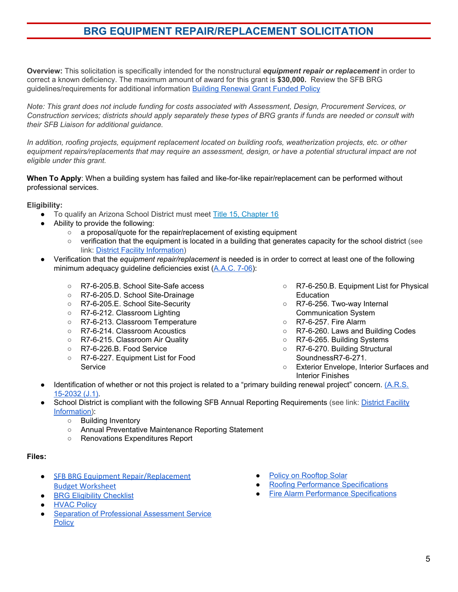## **BRG EQUIPMENT REPAIR/REPLACEMENT SOLICITATION**

**Overview:** This solicitation is specifically intended for the nonstructural *equipment repair or replacement* in order to correct a known deficiency. The maximum amount of award for this grant is **\$30,000.** Review the SFB BRG guidelines/requirements for additional information Building [Renewal](http://www.azsfb.gov/sfb/agency/RulesAndPolicies/IX%20Building%20Renewal%20Grant%20Fund%20Policy.pdf) Grant Funded Policy

*Note: This grant does not include funding for costs associated with Assessment, Design, Procurement Services, or* Construction services; districts should apply separately these types of BRG grants if funds are needed or consult with *their SFB Liaison for additional guidance.*

*In addition, roofing projects, equipment replacement located on building roofs, weatherization projects, etc. or other* equipment repairs/replacements that may require an assessment, design, or have a potential structural impact are not *eligible under this grant.*

**When To Apply**: When a building system has failed and like-for-like repair/replacement can be performed without professional services.

#### **Eligibility:**

- To qualify an Arizona School District must meet Title 15, [Chapter](https://www.azleg.gov/arsDetail/?title=15) 16
- Ability to provide the following:
	- a proposal/quote for the repair/replacement of existing equipment
	- verification that the equipment is located in a building that generates capacity for the school district (see link: District Facility [Information\)](http://www.azsfb.gov/linkTo.asp?linkId=1888)
- Verification that the *equipment repair/replacement* is needed is in order to correct at least one of the following minimum adequacy guideline deficiencies exist ([A.A.C.](https://apps.azsos.gov/public_services/Title_07/7-06.pdf) 7-06):
	- R7-6-205.B. School Site-Safe access
	- R7-6-205.D. School Site-Drainage
	- R7-6-205.E. School Site-Security
	- R7-6-212. Classroom Lighting
	- R7-6-213. Classroom Temperature
	- R7-6-214. Classroom Acoustics
	- R7-6-215. Classroom Air Quality
	- R7-6-226.B. Food Service
	- R7-6-227. Equipment List for Food Service
- R7-6-250.B. Equipment List for Physical Education
- R7-6-256. Two-way Internal Communication System
- R7-6-257. Fire Alarm
- R7-6-260. Laws and Building Codes
- R7-6-265. Building Systems
- R7-6-270. Building Structural SoundnessR7-6-271.
- Exterior Envelope, Interior Surfaces and Interior Finishes
- Identification of whether or not this project is related to a "primary building renewal project" concern. [\(A.R.S.](https://www.azleg.gov/viewdocument/?docName=https://www.azleg.gov/ars/15/02032.htm) [15-2032](https://www.azleg.gov/viewdocument/?docName=https://www.azleg.gov/ars/15/02032.htm) (J.1).
- School District is compliant with the following SFB Annual Reporting Requirements (see link: District [Facility](http://www.azsfb.gov/linkTo.asp?linkId=1888) [Information](http://www.azsfb.gov/linkTo.asp?linkId=1888)):
	- Building Inventory
	- Annual Preventative Maintenance Reporting Statement
	- Renovations Expenditures Report

- **SFB BRG Equipment [Repair/Replacement](http://www.azsfb.gov/linkTo.asp?linkId=1880)** Budget [Worksheet](http://www.azsfb.gov/linkTo.asp?linkId=1880)
- **BRG Eligibility [Checklist](http://www.azsfb.gov/sfb/agency/Published/BRG%20Application%20Checklist.pdf)**
- **[HVAC](http://www.azsfb.gov/sfb/agency/Published/SFB%20HVAC%20policy.pdf) Policy**
- **Separation of [Professional](http://www.azsfb.gov/sfb/agency/RulesAndPolicies/Separation%20of%20Professional%20Assessment%20Services%20Policy1.pdf) Assessment Service [Policy](http://www.azsfb.gov/sfb/agency/RulesAndPolicies/Separation%20of%20Professional%20Assessment%20Services%20Policy1.pdf)**
- **Policy on [Rooftop](http://www.azsfb.gov/sfb/agency/RulesAndPolicies/XII%20Rooftop%20Solar%20Policy.pdf) Solar**
- **Roofing Performance [Specifications](http://www.azsfb.gov/sfb/agency/RulesAndPolicies/XV%20Roof%20Inspection%20Protocol%20Policy.pdf)**
- **Fire Alarm Performance [Specifications](http://www.azsfb.gov/sfb/agency/Performance%20Specifications/Fire%20Alarm%2012122018/28_46_00_-_Fire_Alarm%20%281%29.pdf)**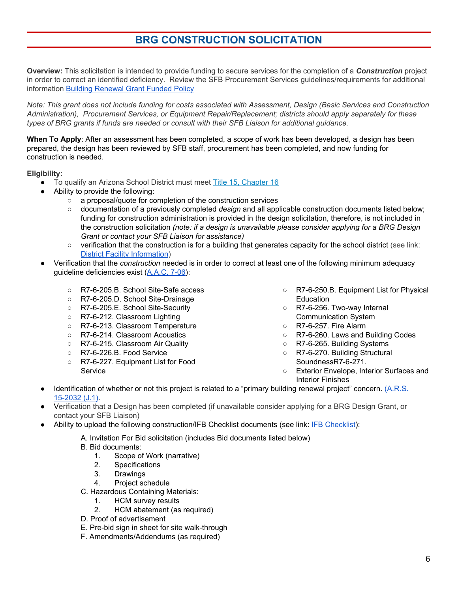# **BRG CONSTRUCTION SOLICITATION**

**Overview:** This solicitation is intended to provide funding to secure services for the completion of a *Construction* project in order to correct an identified deficiency. Review the SFB Procurement Services guidelines/requirements for additional information Building [Renewal](http://www.azsfb.gov/sfb/agency/RulesAndPolicies/IX%20Building%20Renewal%20Grant%20Fund%20Policy.pdf) Grant Funded Policy

Note: This grant does not include funding for costs associated with Assessment, Design (Basic Services and Construction *Administration), Procurement Services, or Equipment Repair/Replacement; districts should apply separately for these types of BRG grants if funds are needed or consult with their SFB Liaison for additional guidance.*

**When To Apply**: After an assessment has been completed, a scope of work has been developed, a design has been prepared, the design has been reviewed by SFB staff, procurement has been completed, and now funding for construction is needed.

**Eligibility:**

- To qualify an Arizona School District must meet Title 15, [Chapter](https://www.azleg.gov/arsDetail/?title=15) 16
	- Ability to provide the following:
		- a proposal/quote for completion of the construction services
		- documentation of a previously completed *design* and all applicable construction documents listed below; funding for construction administration is provided in the design solicitation, therefore, is not included in the construction solicitation *(note: if a design is unavailable please consider applying for a BRG Design Grant or contact your SFB Liaison for assistance)*
		- verification that the construction is for a building that generates capacity for the school district (see link: District Facility [Information](http://www.azsfb.gov/linkTo.asp?linkId=1888))
- Verification that the *construction* needed is in order to correct at least one of the following minimum adequacy guideline deficiencies exist [\(A.A.C.](https://apps.azsos.gov/public_services/Title_07/7-06.pdf) 7-06):
	- R7-6-205.B. School Site-Safe access
	- R7-6-205.D. School Site-Drainage
	- R7-6-205.E. School Site-Security
	- R7-6-212. Classroom Lighting
	- R7-6-213. Classroom Temperature
	- R7-6-214. Classroom Acoustics
	- R7-6-215. Classroom Air Quality
	- R7-6-226.B. Food Service
	- R7-6-227. Equipment List for Food Service
- R7-6-250.B. Equipment List for Physical Education
- R7-6-256. Two-way Internal Communication System
- R7-6-257. Fire Alarm
- R7-6-260. Laws and Building Codes
- R7-6-265. Building Systems
- R7-6-270. Building Structural SoundnessR7-6-271.
- Exterior Envelope, Interior Surfaces and Interior Finishes
- Identification of whether or not this project is related to a "primary building renewal project" concern. [\(A.R.S.](https://www.azleg.gov/viewdocument/?docName=https://www.azleg.gov/ars/15/02032.htm) [15-2032](https://www.azleg.gov/viewdocument/?docName=https://www.azleg.gov/ars/15/02032.htm) (J.1).
- Verification that a Design has been completed (if unavailable consider applying for a BRG Design Grant, or contact your SFB Liaison)
- Ability to upload the following construction/IFB Checklist documents (see link: IFB [Checklist\)](http://www.azsfb.gov/sfb/agency/Published/IFB%20Checklist.pdf):
	- A. Invitation For Bid solicitation (includes Bid documents listed below)
	- B. Bid documents:
		- 1. Scope of Work (narrative)
		- 2. Specifications
		- 3. Drawings
		- 4. Project schedule
	- C. Hazardous Containing Materials:
		- 1. HCM survey results
		- 2. HCM abatement (as required)
	- D. Proof of advertisement
	- E. Pre-bid sign in sheet for site walk-through
	- F. Amendments/Addendums (as required)